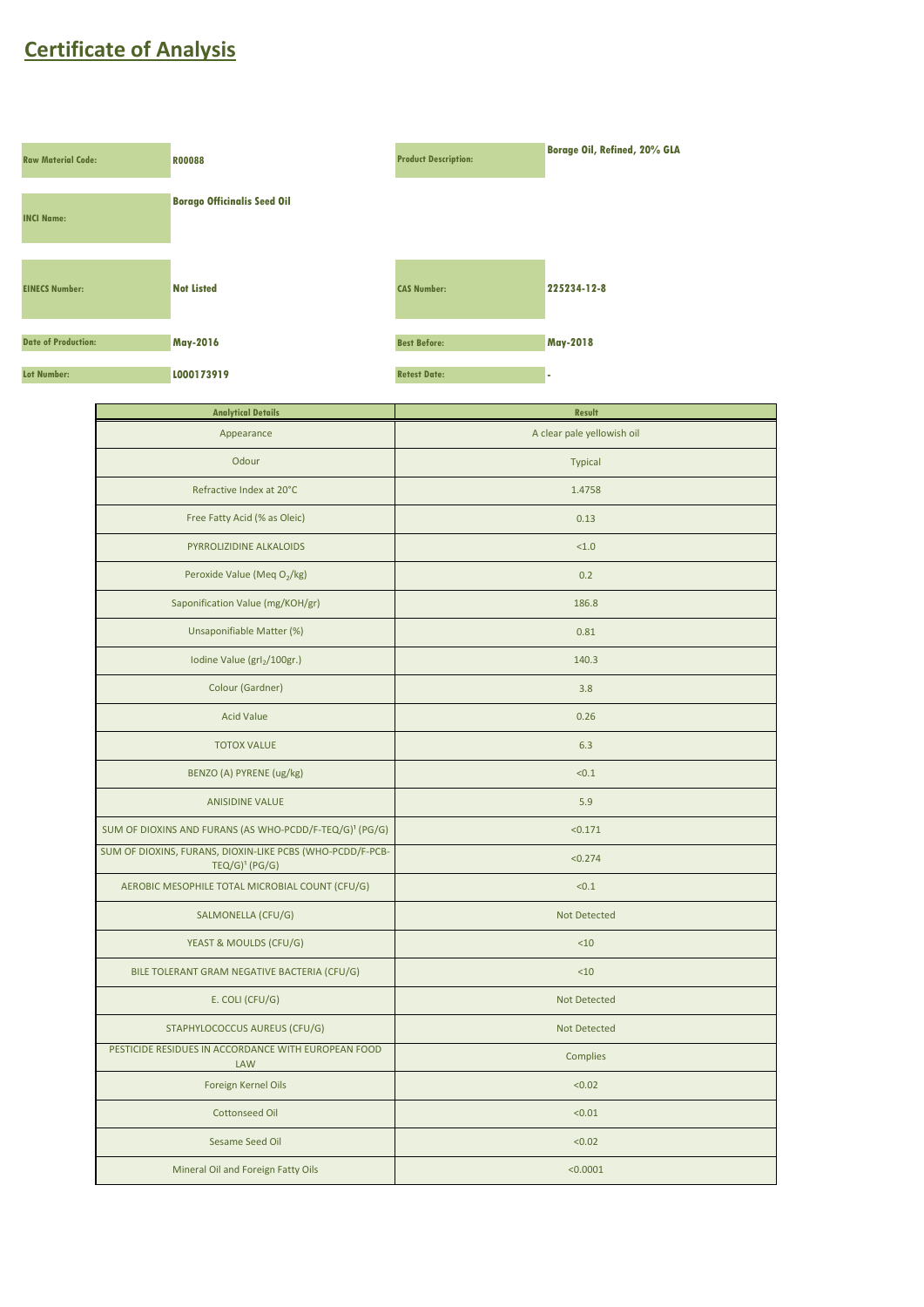## **Certificate of Analysis**



| <b>Analytical Details</b>                                                                | <b>Result</b>              |
|------------------------------------------------------------------------------------------|----------------------------|
| Appearance                                                                               | A clear pale yellowish oil |
| Odour                                                                                    | <b>Typical</b>             |
| Refractive Index at 20°C                                                                 | 1.4758                     |
| Free Fatty Acid (% as Oleic)                                                             | 0.13                       |
| PYRROLIZIDINE ALKALOIDS                                                                  | < 1.0                      |
| Peroxide Value (Meq O <sub>2</sub> /kg)                                                  | 0.2                        |
| Saponification Value (mg/KOH/gr)                                                         | 186.8                      |
| Unsaponifiable Matter (%)                                                                | 0.81                       |
| Iodine Value (grl <sub>2</sub> /100gr.)                                                  | 140.3                      |
| Colour (Gardner)                                                                         | 3.8                        |
| <b>Acid Value</b>                                                                        | 0.26                       |
| <b>TOTOX VALUE</b>                                                                       | 6.3                        |
| BENZO (A) PYRENE (ug/kg)                                                                 | < 0.1                      |
| <b>ANISIDINE VALUE</b>                                                                   | 5.9                        |
| SUM OF DIOXINS AND FURANS (AS WHO-PCDD/F-TEQ/G) <sup>1</sup> (PG/G)                      | < 0.171                    |
| SUM OF DIOXINS, FURANS, DIOXIN-LIKE PCBS (WHO-PCDD/F-PCB-<br>$TEQ/G$ <sup>1</sup> (PG/G) | < 0.274                    |
| AEROBIC MESOPHILE TOTAL MICROBIAL COUNT (CFU/G)                                          | < 0.1                      |
| SALMONELLA (CFU/G)                                                                       | <b>Not Detected</b>        |
| YEAST & MOULDS (CFU/G)                                                                   | <10                        |
| BILE TOLERANT GRAM NEGATIVE BACTERIA (CFU/G)                                             | <10                        |
| E. COLI (CFU/G)                                                                          | <b>Not Detected</b>        |
| STAPHYLOCOCCUS AUREUS (CFU/G)                                                            | <b>Not Detected</b>        |
| PESTICIDE RESIDUES IN ACCORDANCE WITH EUROPEAN FOOD<br>LAW                               | <b>Complies</b>            |
| Foreign Kernel Oils                                                                      | < 0.02                     |
| <b>Cottonseed Oil</b>                                                                    | < 0.01                     |
| Sesame Seed Oil                                                                          | < 0.02                     |
| Mineral Oil and Foreign Fatty Oils                                                       | < 0.0001                   |